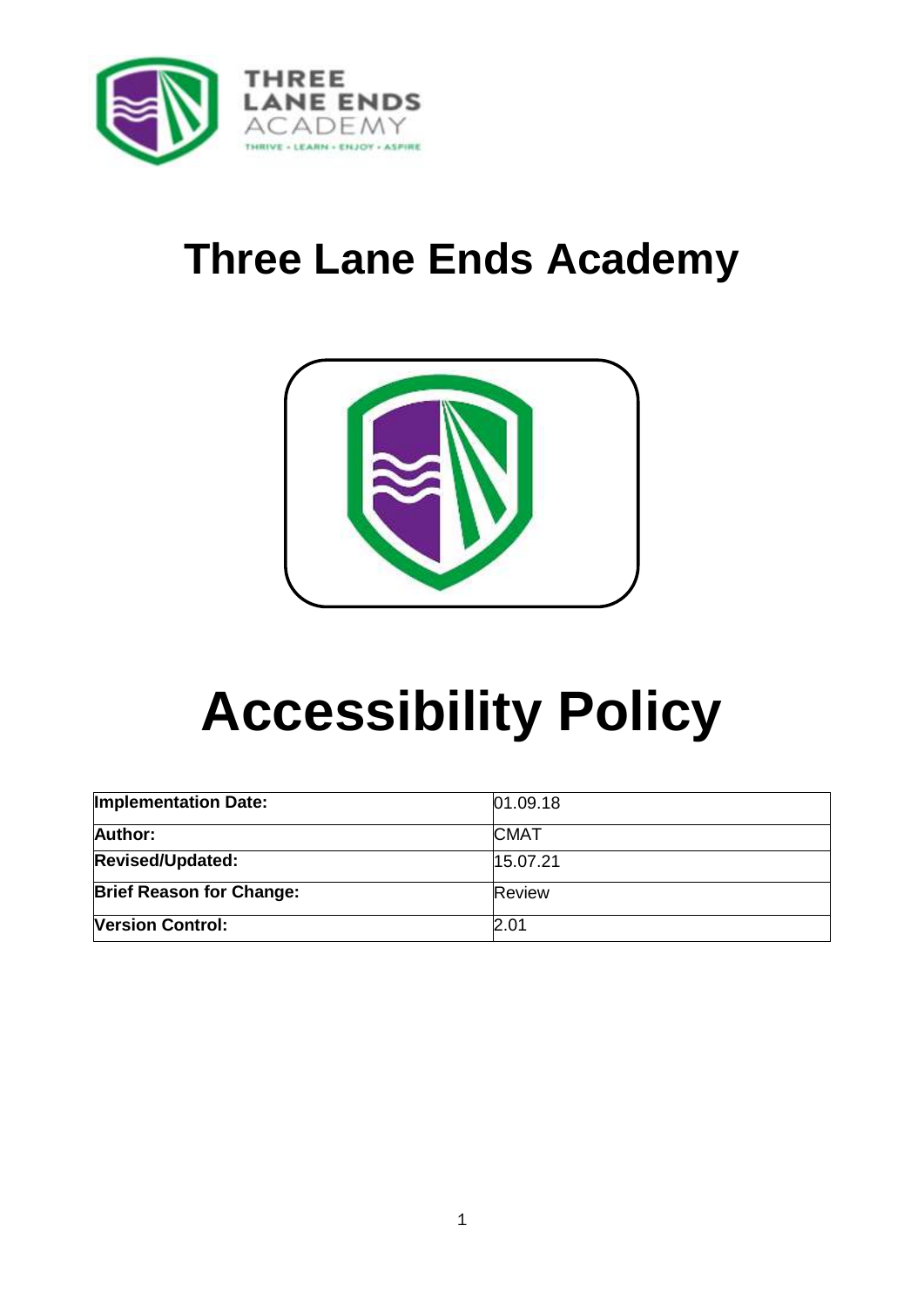

## **Three Lane Ends Academy**



# **Accessibility Policy**

| <b>Implementation Date:</b>     | 01.09.18      |
|---------------------------------|---------------|
| Author:                         | <b>CMAT</b>   |
| <b>Revised/Updated:</b>         | 15.07.21      |
| <b>Brief Reason for Change:</b> | <b>Review</b> |
| <b>Version Control:</b>         | 2.01          |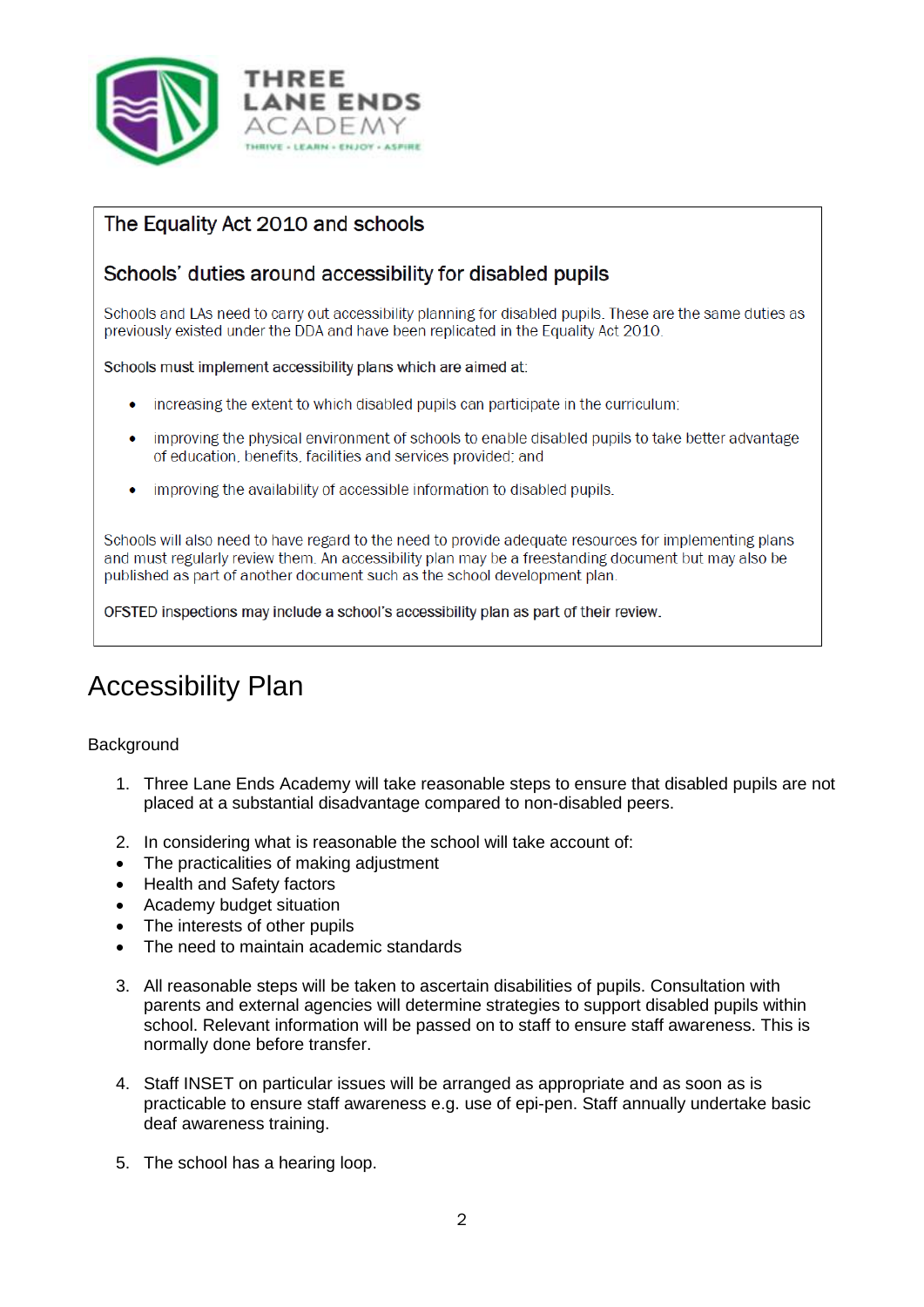

#### The Equality Act 2010 and schools

#### Schools' duties around accessibility for disabled pupils

Schools and LAs need to carry out accessibility planning for disabled pupils. These are the same duties as previously existed under the DDA and have been replicated in the Equality Act 2010.

Schools must implement accessibility plans which are aimed at:

- increasing the extent to which disabled pupils can participate in the curriculum;  $\bullet$
- improving the physical environment of schools to enable disabled pupils to take better advantage of education, benefits, facilities and services provided; and
- improving the availability of accessible information to disabled pupils.

Schools will also need to have regard to the need to provide adequate resources for implementing plans and must regularly review them. An accessibility plan may be a freestanding document but may also be published as part of another document such as the school development plan.

OFSTED inspections may include a school's accessibility plan as part of their review.

### Accessibility Plan

#### **Background**

- 1. Three Lane Ends Academy will take reasonable steps to ensure that disabled pupils are not placed at a substantial disadvantage compared to non-disabled peers.
- 2. In considering what is reasonable the school will take account of:
- The practicalities of making adjustment
- Health and Safety factors
- Academy budget situation
- The interests of other pupils
- The need to maintain academic standards
- 3. All reasonable steps will be taken to ascertain disabilities of pupils. Consultation with parents and external agencies will determine strategies to support disabled pupils within school. Relevant information will be passed on to staff to ensure staff awareness. This is normally done before transfer.
- 4. Staff INSET on particular issues will be arranged as appropriate and as soon as is practicable to ensure staff awareness e.g. use of epi-pen. Staff annually undertake basic deaf awareness training.
- 5. The school has a hearing loop.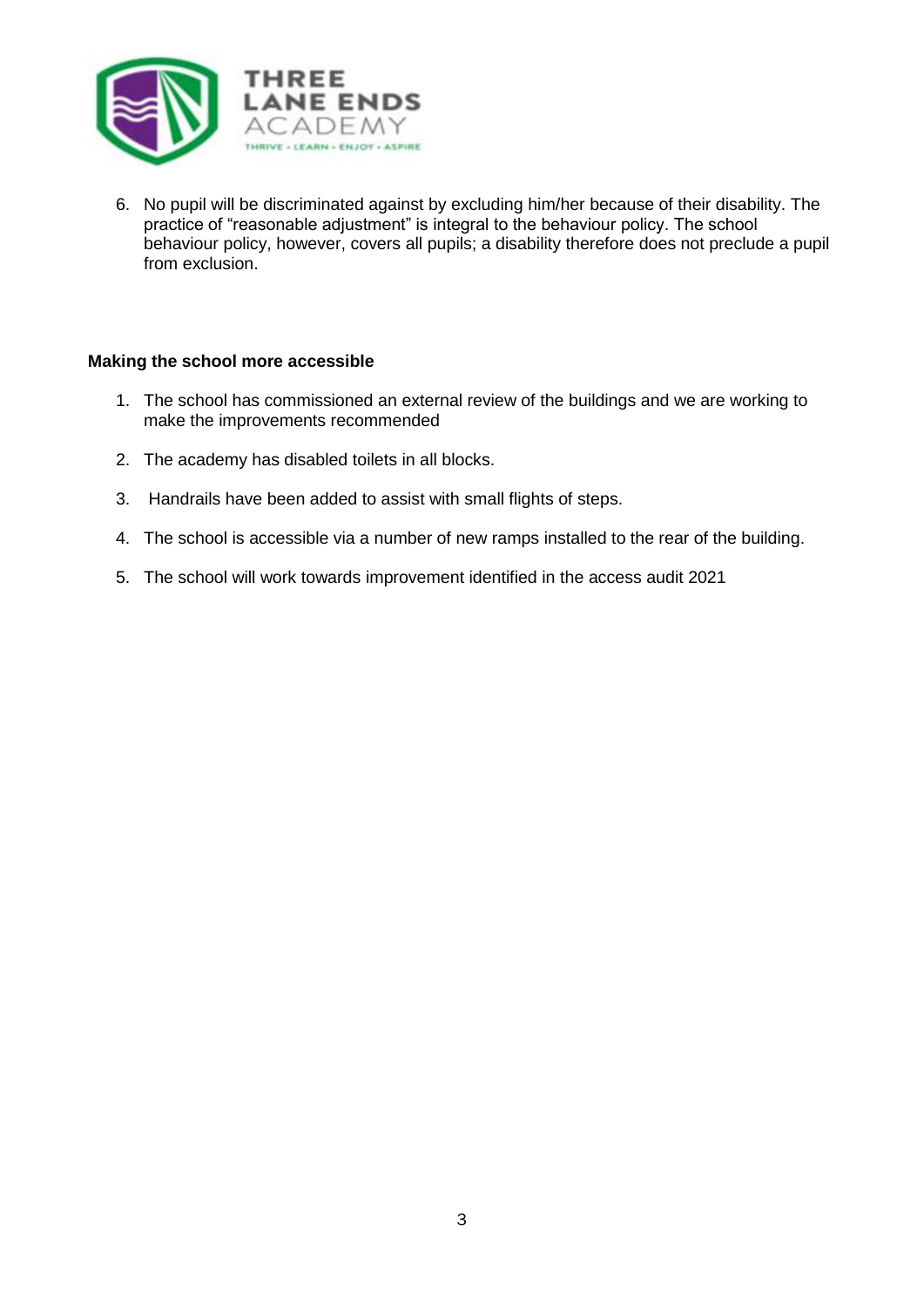

6. No pupil will be discriminated against by excluding him/her because of their disability. The practice of "reasonable adjustment" is integral to the behaviour policy. The school behaviour policy, however, covers all pupils; a disability therefore does not preclude a pupil from exclusion.

#### **Making the school more accessible**

- 1. The school has commissioned an external review of the buildings and we are working to make the improvements recommended
- 2. The academy has disabled toilets in all blocks.
- 3. Handrails have been added to assist with small flights of steps.
- 4. The school is accessible via a number of new ramps installed to the rear of the building.
- 5. The school will work towards improvement identified in the access audit 2021